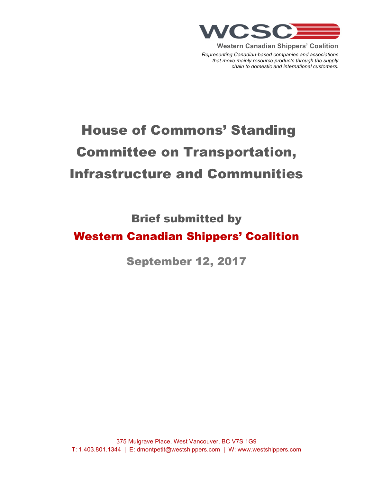

**Western Canadian Shippers' Coalition**

*Representing Canadian-based companies and associations that move mainly resource products through the supply chain to domestic and international customers.*

# House of Commons' Standing Committee on Transportation, Infrastructure and Communities

Brief submitted by

## Western Canadian Shippers' Coalition

September 12, 2017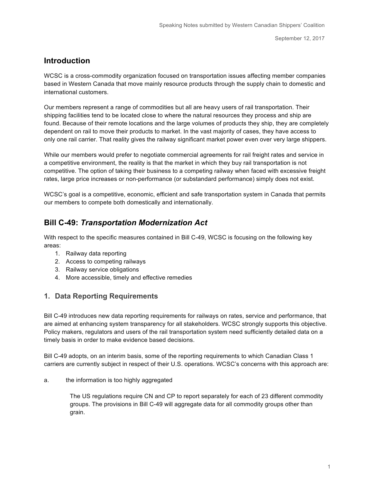## **Introduction**

WCSC is a cross-commodity organization focused on transportation issues affecting member companies based in Western Canada that move mainly resource products through the supply chain to domestic and international customers.

Our members represent a range of commodities but all are heavy users of rail transportation. Their shipping facilities tend to be located close to where the natural resources they process and ship are found. Because of their remote locations and the large volumes of products they ship, they are completely dependent on rail to move their products to market. In the vast majority of cases, they have access to only one rail carrier. That reality gives the railway significant market power even over very large shippers.

While our members would prefer to negotiate commercial agreements for rail freight rates and service in a competitive environment, the reality is that the market in which they buy rail transportation is not competitive. The option of taking their business to a competing railway when faced with excessive freight rates, large price increases or non-performance (or substandard performance) simply does not exist.

WCSC's goal is a competitive, economic, efficient and safe transportation system in Canada that permits our members to compete both domestically and internationally.

## **Bill C-49:** *Transportation Modernization Act*

With respect to the specific measures contained in Bill C-49, WCSC is focusing on the following key areas:

- 1. Railway data reporting
- 2. Access to competing railways
- 3. Railway service obligations
- 4. More accessible, timely and effective remedies

#### **1. Data Reporting Requirements**

Bill C-49 introduces new data reporting requirements for railways on rates, service and performance, that are aimed at enhancing system transparency for all stakeholders. WCSC strongly supports this objective. Policy makers, regulators and users of the rail transportation system need sufficiently detailed data on a timely basis in order to make evidence based decisions.

Bill C-49 adopts, on an interim basis, some of the reporting requirements to which Canadian Class 1 carriers are currently subject in respect of their U.S. operations. WCSC's concerns with this approach are:

a. the information is too highly aggregated

The US regulations require CN and CP to report separately for each of 23 different commodity groups. The provisions in Bill C-49 will aggregate data for all commodity groups other than grain.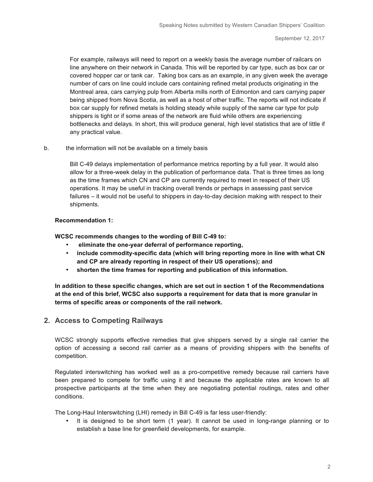For example, railways will need to report on a weekly basis the average number of railcars on line anywhere on their network in Canada. This will be reported by car type, such as box car or covered hopper car or tank car. Taking box cars as an example, in any given week the average number of cars on line could include cars containing refined metal products originating in the Montreal area, cars carrying pulp from Alberta mills north of Edmonton and cars carrying paper being shipped from Nova Scotia, as well as a host of other traffic. The reports will not indicate if box car supply for refined metals is holding steady while supply of the same car type for pulp shippers is tight or if some areas of the network are fluid while others are experiencing bottlenecks and delays. In short, this will produce general, high level statistics that are of little if any practical value.

#### b. the information will not be available on a timely basis

Bill C-49 delays implementation of performance metrics reporting by a full year. It would also allow for a three-week delay in the publication of performance data. That is three times as long as the time frames which CN and CP are currently required to meet in respect of their US operations. It may be useful in tracking overall trends or perhaps in assessing past service failures – it would not be useful to shippers in day-to-day decision making with respect to their shipments.

#### **Recommendation 1:**

**WCSC recommends changes to the wording of Bill C-49 to:**

- **eliminate the one-year deferral of performance reporting,**
- **include commodity-specific data (which will bring reporting more in line with what CN and CP are already reporting in respect of their US operations); and**
- **shorten the time frames for reporting and publication of this information.**

**In addition to these specific changes, which are set out in section 1 of the Recommendations at the end of this brief, WCSC also supports a requirement for data that is more granular in terms of specific areas or components of the rail network.**

#### **2. Access to Competing Railways**

WCSC strongly supports effective remedies that give shippers served by a single rail carrier the option of accessing a second rail carrier as a means of providing shippers with the benefits of competition.

Regulated interswitching has worked well as a pro-competitive remedy because rail carriers have been prepared to compete for traffic using it and because the applicable rates are known to all prospective participants at the time when they are negotiating potential routings, rates and other conditions.

The Long-Haul Interswitching (LHI) remedy in Bill C-49 is far less user-friendly:

• It is designed to be short term (1 year). It cannot be used in long-range planning or to establish a base line for greenfield developments, for example.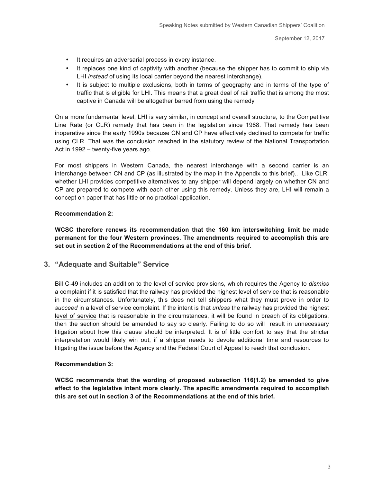- It requires an adversarial process in every instance.
- It replaces one kind of captivity with another (because the shipper has to commit to ship via LHI *instead* of using its local carrier beyond the nearest interchange).
- It is subject to multiple exclusions, both in terms of geography and in terms of the type of traffic that is eligible for LHI. This means that a great deal of rail traffic that is among the most captive in Canada will be altogether barred from using the remedy

On a more fundamental level, LHI is very similar, in concept and overall structure, to the Competitive Line Rate (or CLR) remedy that has been in the legislation since 1988. That remedy has been inoperative since the early 1990s because CN and CP have effectively declined to compete for traffic using CLR. That was the conclusion reached in the statutory review of the National Transportation Act in 1992 – twenty-five years ago.

For most shippers in Western Canada, the nearest interchange with a second carrier is an interchange between CN and CP (as illustrated by the map in the Appendix to this brief).. Like CLR, whether LHI provides competitive alternatives to any shipper will depend largely on whether CN and CP are prepared to compete with each other using this remedy. Unless they are, LHI will remain a concept on paper that has little or no practical application.

#### **Recommendation 2:**

**WCSC therefore renews its recommendation that the 160 km interswitching limit be made permanent for the four Western provinces. The amendments required to accomplish this are set out in section 2 of the Recommendations at the end of this brief.** 

#### **3. "Adequate and Suitable" Service**

Bill C-49 includes an addition to the level of service provisions, which requires the Agency to *dismiss* a complaint if it is satisfied that the railway has provided the highest level of service that is reasonable in the circumstances. Unfortunately, this does not tell shippers what they must prove in order to *succeed* in a level of service complaint. If the intent is that *unless* the railway has provided the highest level of service that is reasonable in the circumstances, it will be found in breach of its obligations, then the section should be amended to say so clearly. Failing to do so will result in unnecessary litigation about how this clause should be interpreted. It is of little comfort to say that the stricter interpretation would likely win out, if a shipper needs to devote additional time and resources to litigating the issue before the Agency and the Federal Court of Appeal to reach that conclusion.

#### **Recommendation 3:**

**WCSC recommends that the wording of proposed subsection 116(1.2) be amended to give effect to the legislative intent more clearly. The specific amendments required to accomplish this are set out in section 3 of the Recommendations at the end of this brief.**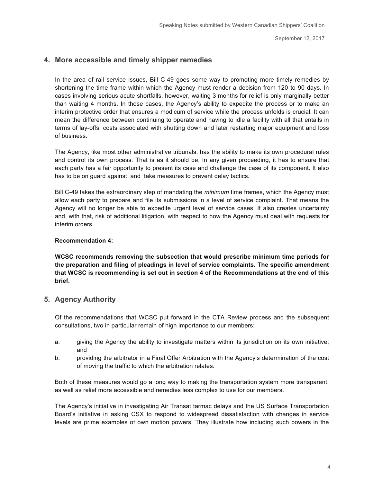### **4. More accessible and timely shipper remedies**

In the area of rail service issues, Bill C-49 goes some way to promoting more timely remedies by shortening the time frame within which the Agency must render a decision from 120 to 90 days. In cases involving serious acute shortfalls, however, waiting 3 months for relief is only marginally better than waiting 4 months. In those cases, the Agency's ability to expedite the process or to make an interim protective order that ensures a modicum of service while the process unfolds is crucial. It can mean the difference between continuing to operate and having to idle a facility with all that entails in terms of lay-offs, costs associated with shutting down and later restarting major equipment and loss of business.

The Agency, like most other administrative tribunals, has the ability to make its own procedural rules and control its own process. That is as it should be. In any given proceeding, it has to ensure that each party has a fair opportunity to present its case and challenge the case of its component. It also has to be on guard against and take measures to prevent delay tactics.

Bill C-49 takes the extraordinary step of mandating the *minimum* time frames, which the Agency must allow each party to prepare and file its submissions in a level of service complaint. That means the Agency will no longer be able to expedite urgent level of service cases. It also creates uncertainty and, with that, risk of additional litigation, with respect to how the Agency must deal with requests for interim orders.

#### **Recommendation 4:**

**WCSC recommends removing the subsection that would prescribe minimum time periods for the preparation and filing of pleadings in level of service complaints. The specific amendment that WCSC is recommending is set out in section 4 of the Recommendations at the end of this brief.**

#### **5. Agency Authority**

Of the recommendations that WCSC put forward in the CTA Review process and the subsequent consultations, two in particular remain of high importance to our members:

- a. giving the Agency the ability to investigate matters within its jurisdiction on its own initiative; and
- b. providing the arbitrator in a Final Offer Arbitration with the Agency's determination of the cost of moving the traffic to which the arbitration relates.

Both of these measures would go a long way to making the transportation system more transparent, as well as relief more accessible and remedies less complex to use for our members.

The Agency's initiative in investigating Air Transat tarmac delays and the US Surface Transportation Board's initiative in asking CSX to respond to widespread dissatisfaction with changes in service levels are prime examples of own motion powers. They illustrate how including such powers in the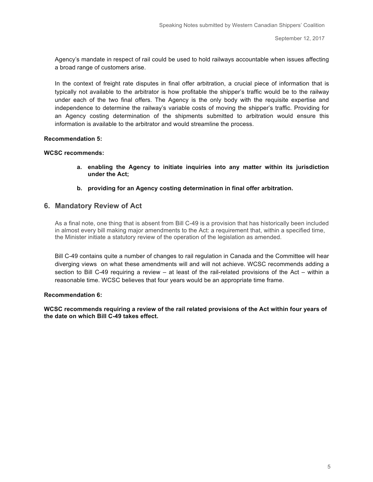Agency's mandate in respect of rail could be used to hold railways accountable when issues affecting a broad range of customers arise.

In the context of freight rate disputes in final offer arbitration, a crucial piece of information that is typically not available to the arbitrator is how profitable the shipper's traffic would be to the railway under each of the two final offers. The Agency is the only body with the requisite expertise and independence to determine the railway's variable costs of moving the shipper's traffic. Providing for an Agency costing determination of the shipments submitted to arbitration would ensure this information is available to the arbitrator and would streamline the process.

#### **Recommendation 5:**

#### **WCSC recommends:**

- **a. enabling the Agency to initiate inquiries into any matter within its jurisdiction under the Act;**
- **b. providing for an Agency costing determination in final offer arbitration.**

#### **6. Mandatory Review of Act**

As a final note, one thing that is absent from Bill C-49 is a provision that has historically been included in almost every bill making major amendments to the Act: a requirement that, within a specified time, the Minister initiate a statutory review of the operation of the legislation as amended.

Bill C-49 contains quite a number of changes to rail regulation in Canada and the Committee will hear diverging views on what these amendments will and will not achieve. WCSC recommends adding a section to Bill C-49 requiring a review – at least of the rail-related provisions of the Act – within a reasonable time. WCSC believes that four years would be an appropriate time frame.

#### **Recommendation 6:**

**WCSC recommends requiring a review of the rail related provisions of the Act within four years of the date on which Bill C-49 takes effect.**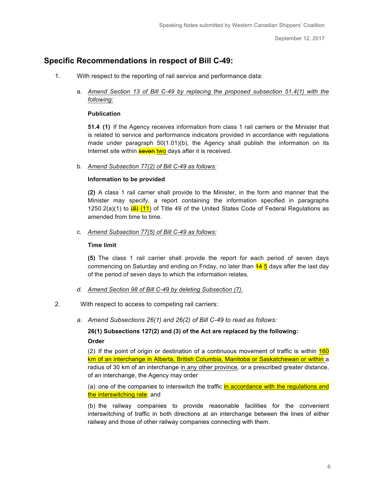## **Specific Recommendations in respect of Bill C-49:**

- 1. With respect to the reporting of rail service and performance data:
	- a. *Amend Section 13 of Bill C-49 by replacing the proposed subsection 51.4(1) with the following:*

#### **Publication**

**51.4 (1)** If the Agency receives information from class 1 rail carriers or the Minister that is related to service and performance indicators provided in accordance with regulations made under paragraph 50(1.01)(b), the Agency shall publish the information on its Internet site within **seven two** days after it is received.

b. *Amend Subsection 77(2) of Bill C-49 as follows:*

#### **Information to be provided**

**(2)** A class 1 rail carrier shall provide to the Minister, in the form and manner that the Minister may specify, a report containing the information specified in paragraphs 1250.2(a)(1) to  $\left(\frac{1}{2}\right)$  (11) of Title 49 of the United States Code of Federal Regulations as amended from time to time.

c. *Amend Subsection 77(5) of Bill C-49 as follows:*

#### **Time limit**

**(5)** The class 1 rail carrier shall provide the report for each period of seven days commencing on Saturday and ending on Friday, no later than  $\frac{44}{5}$  days after the last day of the period of seven days to which the information relates.

- *d. Amend Section 98 of Bill C-49 by deleting Subsection (7).*
- 2. With respect to access to competing rail carriers:
	- *a. Amend Subsections 26(1) and 26(2) of Bill C-49 to read as follows:*

**26(1) Subsections 127(2) and (3) of the Act are replaced by the following: Order** 

(2) If the point of origin or destination of a continuous movement of traffic is within  $160$ km of an interchange in Alberta, British Columbia, Manitoba or Saskatchewan or within a radius of 30 km of an interchange in any other province, or a prescribed greater distance, of an interchange, the Agency may order

(a) one of the companies to interswitch the traffic in accordance with the regulations and the interswitching rate; and

(b) the railway companies to provide reasonable facilities for the convenient interswitching of traffic in both directions at an interchange between the lines of either railway and those of other railway companies connecting with them.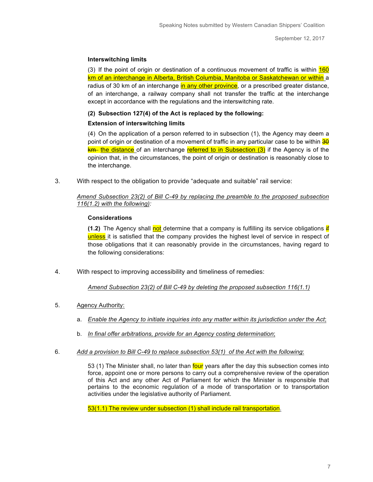#### **Interswitching limits**

(3) If the point of origin or destination of a continuous movement of traffic is within  $160$ km of an interchange in Alberta, British Columbia, Manitoba or Saskatchewan or within a radius of 30 km of an interchange in any other province, or a prescribed greater distance, of an interchange, a railway company shall not transfer the traffic at the interchange except in accordance with the regulations and the interswitching rate.

#### **(2) Subsection 127(4) of the Act is replaced by the following:**

#### **Extension of interswitching limits**

(4) On the application of a person referred to in subsection (1), the Agency may deem a point of origin or destination of a movement of traffic in any particular case to be within 30  $km$  the distance of an interchange referred to in Subsection  $(3)$  if the Agency is of the opinion that, in the circumstances, the point of origin or destination is reasonably close to the interchange.

3. With respect to the obligation to provide "adequate and suitable" rail service:

#### *Amend Subsection 23(2) of Bill C-49 by replacing the preamble to the proposed subsection 116(1.2) with the following):*

#### **Considerations**

**(1.2)** The Agency shall not determine that a company is fulfilling its service obligations if unless it is satisfied that the company provides the highest level of service in respect of those obligations that it can reasonably provide in the circumstances, having regard to the following considerations:

4. With respect to improving accessibility and timeliness of remedies:

*Amend Subsection 23(2) of Bill C-49 by deleting the proposed subsection 116(1.1)*

- 5. Agency Authority:
	- a. *Enable the Agency to initiate inquiries into any matter within its jurisdiction under the Act*;
	- b. *In final offer arbitrations, provide for an Agency costing determination*;
- 6. *Add a provision to Bill C-49 to replace subsection 53(1) of the Act with the following*:

53 (1) The Minister shall, no later than four years after the day this subsection comes into force, appoint one or more persons to carry out a comprehensive review of the operation of this Act and any other Act of Parliament for which the Minister is responsible that pertains to the economic regulation of a mode of transportation or to transportation activities under the legislative authority of Parliament.

53(1.1) The review under subsection (1) shall include rail transportation.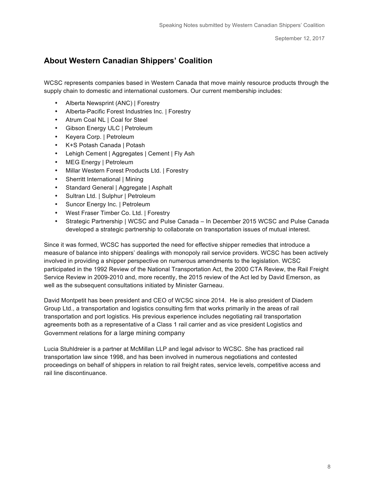## **About Western Canadian Shippers' Coalition**

WCSC represents companies based in Western Canada that move mainly resource products through the supply chain to domestic and international customers. Our current membership includes:

- Alberta Newsprint (ANC) | Forestry
- Alberta-Pacific Forest Industries Inc. | Forestry
- Atrum Coal NL | Coal for Steel
- Gibson Energy ULC | Petroleum
- Keyera Corp. | Petroleum
- K+S Potash Canada | Potash
- Lehigh Cement | Aggregates | Cement | Fly Ash
- MEG Energy | Petroleum
- Millar Western Forest Products Ltd. | Forestry
- Sherritt International | Mining
- Standard General | Aggregate | Asphalt
- Sultran Ltd. | Sulphur | Petroleum
- Suncor Energy Inc. | Petroleum
- West Fraser Timber Co. Ltd. | Forestry
- Strategic Partnership | WCSC and Pulse Canada In December 2015 WCSC and Pulse Canada developed a strategic partnership to collaborate on transportation issues of mutual interest.

Since it was formed, WCSC has supported the need for effective shipper remedies that introduce a measure of balance into shippers' dealings with monopoly rail service providers. WCSC has been actively involved in providing a shipper perspective on numerous amendments to the legislation. WCSC participated in the 1992 Review of the National Transportation Act, the 2000 CTA Review, the Rail Freight Service Review in 2009-2010 and, more recently, the 2015 review of the Act led by David Emerson, as well as the subsequent consultations initiated by Minister Garneau.

David Montpetit has been president and CEO of WCSC since 2014. He is also president of Diadem Group Ltd., a transportation and logistics consulting firm that works primarily in the areas of rail transportation and port logistics. His previous experience includes negotiating rail transportation agreements both as a representative of a Class 1 rail carrier and as vice president Logistics and Government relations for a large mining company

Lucia Stuhldreier is a partner at McMillan LLP and legal advisor to WCSC. She has practiced rail transportation law since 1998, and has been involved in numerous negotiations and contested proceedings on behalf of shippers in relation to rail freight rates, service levels, competitive access and rail line discontinuance.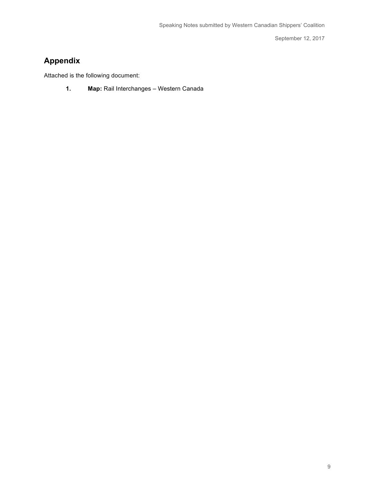## **Appendix**

Attached is the following document:

**1. Map:** Rail Interchanges – Western Canada